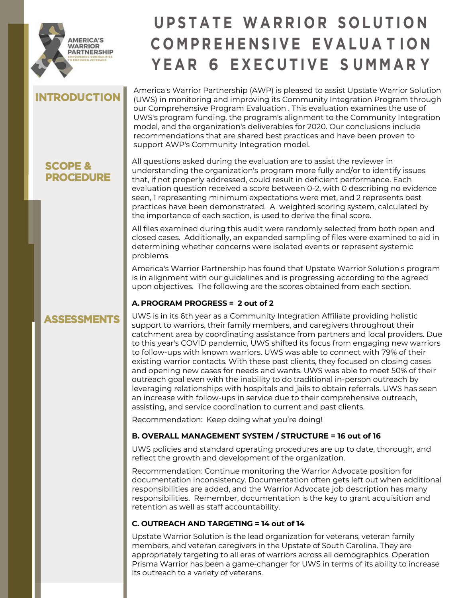

# **U P S T A T E WA R RIOR SOL U TIO N COMPR EHEN S I V E EVA L U A T I O N Y E A R 6 EXE C U T I V E S UMMAR Y**

## **INTRODUCTION**

**SCOPE & PROCEDURE**

**ASSESSMENTS**

America's Warrior Partnership (AWP) is pleased to assist Upstate Warrior Solution (UWS) in monitoring and improving its Community Integration Program through our Comprehensive Program Evaluation . This evaluation examines the use of UWS's program funding, the program's alignment to the Community Integration model, and the organization's deliverables for 2020. Our conclusions include recommendations that are shared best practices and have been proven to support AWP's Community Integration model.

#### All questions asked during the evaluation are to assist the reviewer in understanding the organization's program more fully and/or to identify issues that, if not properly addressed, could result in deficient performance. Each evaluation question received a score between 0-2, with 0 describing no evidence seen, 1 representing minimum expectations were met, and 2 represents best practices have been demonstrated. A weighted scoring system, calculated by the importance of each section, is used to derive the final score.

All files examined during this audit were randomly selected from both open and closed cases. Additionally, an expanded sampling of files were examined to aid in determining whether concerns were isolated events or represent systemic problems.

America's Warrior Partnership has found that Upstate Warrior Solution's program is in alignment with our guidelines and is progressing according to the agreed upon objectives. The following are the scores obtained from each section.

## **A. PROGRAM PROGRESS = 2 out of 2**

#### UWS is in its 6th year as a Community Integration Affiliate providing holistic support to warriors, their family members, and caregivers throughout their catchment area by coordinating assistance from partners and local providers. Due to this year's COVID pandemic, UWS shifted its focus from engaging new warriors to follow-ups with known warriors. UWS was able to connect with 79% of their existing warrior contacts. With these past clients, they focused on closing cases and opening new cases for needs and wants. UWS was able to meet 50% of their outreach goal even with the inability to do traditional in-person outreach by leveraging relationships with hospitals and jails to obtain referrals. UWS has seen an increase with follow-ups in service due to their comprehensive outreach, assisting, and service coordination to current and past clients.

Recommendation: Keep doing what you're doing!

## **B. OVERALL MANAGEMENT SYSTEM / STRUCTURE = 16 out of 16**

UWS policies and standard operating procedures are up to date, thorough, and reflect the growth and development of the organization.

Recommendation: Continue monitoring the Warrior Advocate position for documentation inconsistency. Documentation often gets left out when additional responsibilities are added, and the Warrior Advocate job description has many responsibilities. Remember, documentation is the key to grant acquisition and retention as well as staff accountability.

## **C. OUTREACH AND TARGETING = 14 out of 14**

Upstate Warrior Solution is the lead organization for veterans, veteran family members, and veteran caregivers in the Upstate of South Carolina. They are appropriately targeting to all eras of warriors across all demographics. Operation Prisma Warrior has been a game-changer for UWS in terms of its ability to increase its outreach to a variety of veterans.